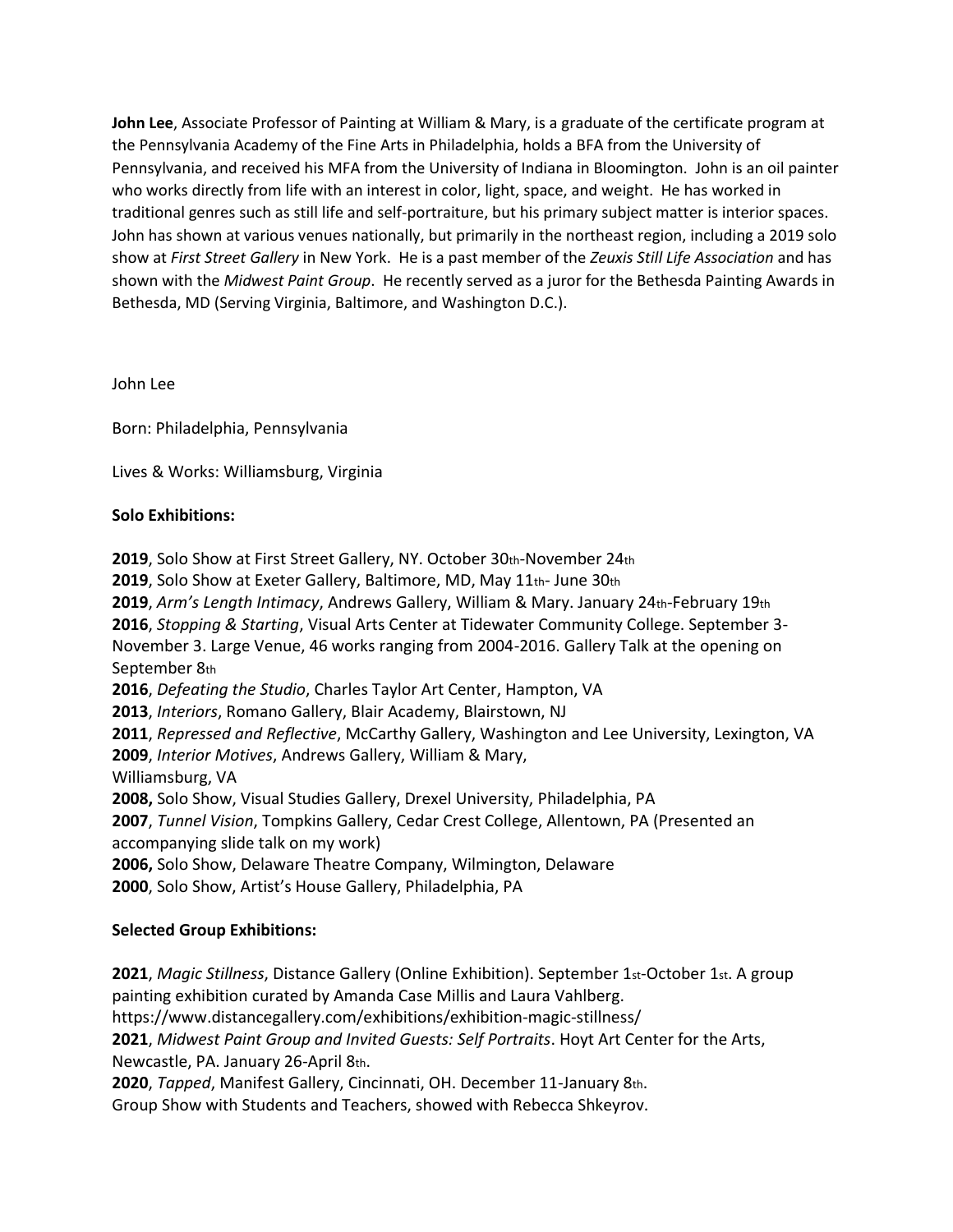**John Lee**, Associate Professor of Painting at William & Mary, is a graduate of the certificate program at the Pennsylvania Academy of the Fine Arts in Philadelphia, holds a BFA from the University of Pennsylvania, and received his MFA from the University of Indiana in Bloomington. John is an oil painter who works directly from life with an interest in color, light, space, and weight. He has worked in traditional genres such as still life and self-portraiture, but his primary subject matter is interior spaces. John has shown at various venues nationally, but primarily in the northeast region, including a 2019 solo show at *First Street Gallery* in New York. He is a past member of the *Zeuxis Still Life Association* and has shown with the *Midwest Paint Group*. He recently served as a juror for the Bethesda Painting Awards in Bethesda, MD (Serving Virginia, Baltimore, and Washington D.C.).

John Lee

Born: Philadelphia, Pennsylvania

Lives & Works: Williamsburg, Virginia

## **Solo Exhibitions:**

**2019**, Solo Show at First Street Gallery, NY. October 30th-November 24th

**2019**, Solo Show at Exeter Gallery, Baltimore, MD, May 11th- June 30th

**2019**, *Arm's Length Intimacy*, Andrews Gallery, William & Mary. January 24th-February 19th **2016**, *Stopping & Starting*, Visual Arts Center at Tidewater Community College. September 3- November 3. Large Venue, 46 works ranging from 2004-2016. Gallery Talk at the opening on September 8th

**2016**, *Defeating the Studio*, Charles Taylor Art Center, Hampton, VA

**2013**, *Interiors*, Romano Gallery, Blair Academy, Blairstown, NJ

**2011**, *Repressed and Reflective*, McCarthy Gallery, Washington and Lee University, Lexington, VA **2009**, *Interior Motives*, Andrews Gallery, William & Mary,

Williamsburg, VA

**2008,** Solo Show, Visual Studies Gallery, Drexel University, Philadelphia, PA

**2007**, *Tunnel Vision*, Tompkins Gallery, Cedar Crest College, Allentown, PA (Presented an accompanying slide talk on my work)

**2006,** Solo Show, Delaware Theatre Company, Wilmington, Delaware

**2000**, Solo Show, Artist's House Gallery, Philadelphia, PA

## **Selected Group Exhibitions:**

**2021**, *Magic Stillness*, Distance Gallery (Online Exhibition). September 1st-October 1st. A group painting exhibition curated by Amanda Case Millis and Laura Vahlberg. https://www.distancegallery.com/exhibitions/exhibition-magic-stillness/ **2021**, *Midwest Paint Group and Invited Guests: Self Portraits*. Hoyt Art Center for the Arts, Newcastle, PA. January 26-April 8th. **2020**, *Tapped*, Manifest Gallery, Cincinnati, OH. December 11-January 8th. Group Show with Students and Teachers, showed with Rebecca Shkeyrov.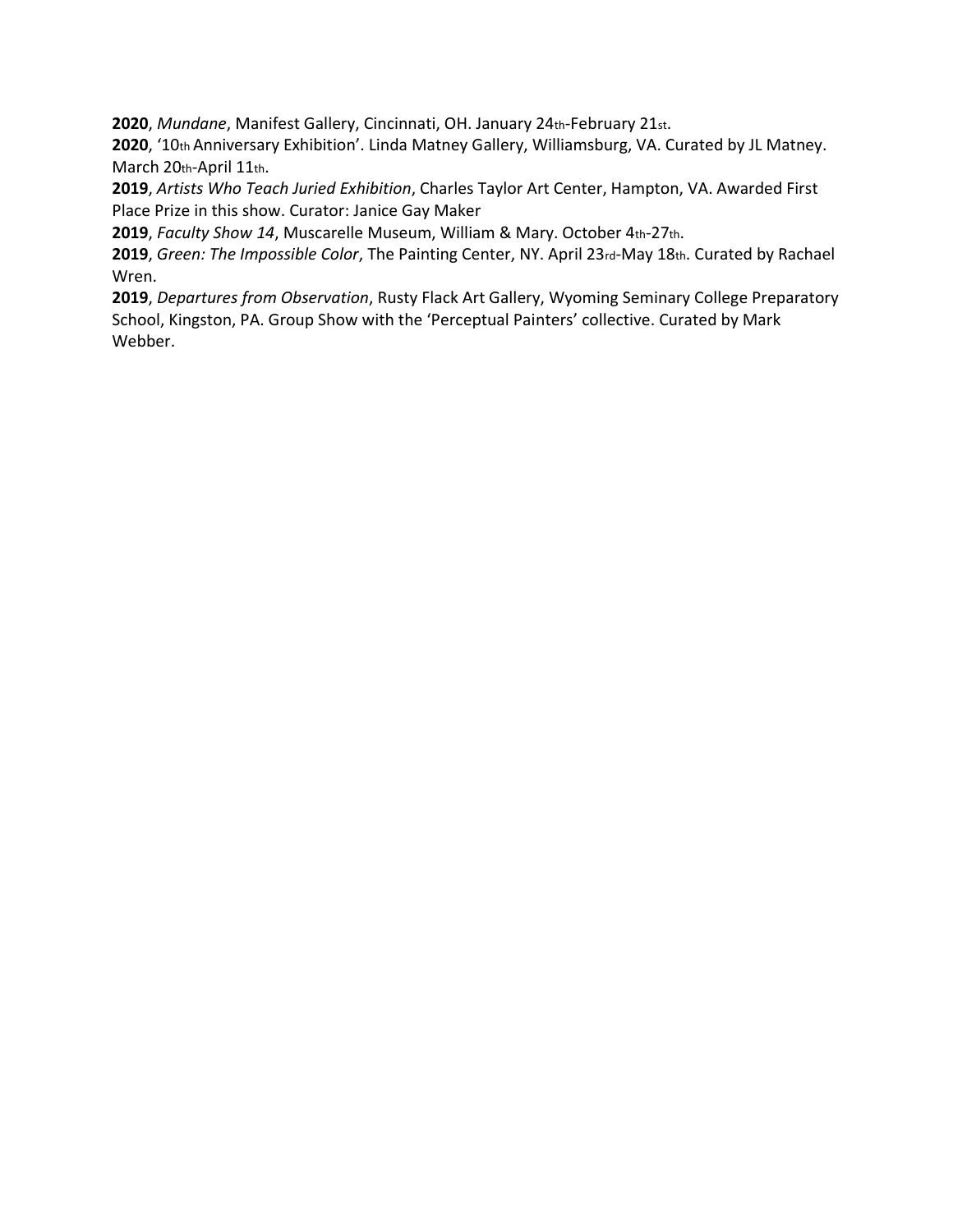**2020**, *Mundane*, Manifest Gallery, Cincinnati, OH. January 24th-February 21st.

**2020**, '10th Anniversary Exhibition'. Linda Matney Gallery, Williamsburg, VA. Curated by JL Matney. March 20th-April 11th.

**2019**, *Artists Who Teach Juried Exhibition*, Charles Taylor Art Center, Hampton, VA. Awarded First Place Prize in this show. Curator: Janice Gay Maker

**2019**, *Faculty Show 14*, Muscarelle Museum, William & Mary. October 4th-27th.

**2019**, *Green: The Impossible Color*, The Painting Center, NY. April 23rd-May 18th. Curated by Rachael Wren.

**2019**, *Departures from Observation*, Rusty Flack Art Gallery, Wyoming Seminary College Preparatory School, Kingston, PA. Group Show with the 'Perceptual Painters' collective. Curated by Mark Webber.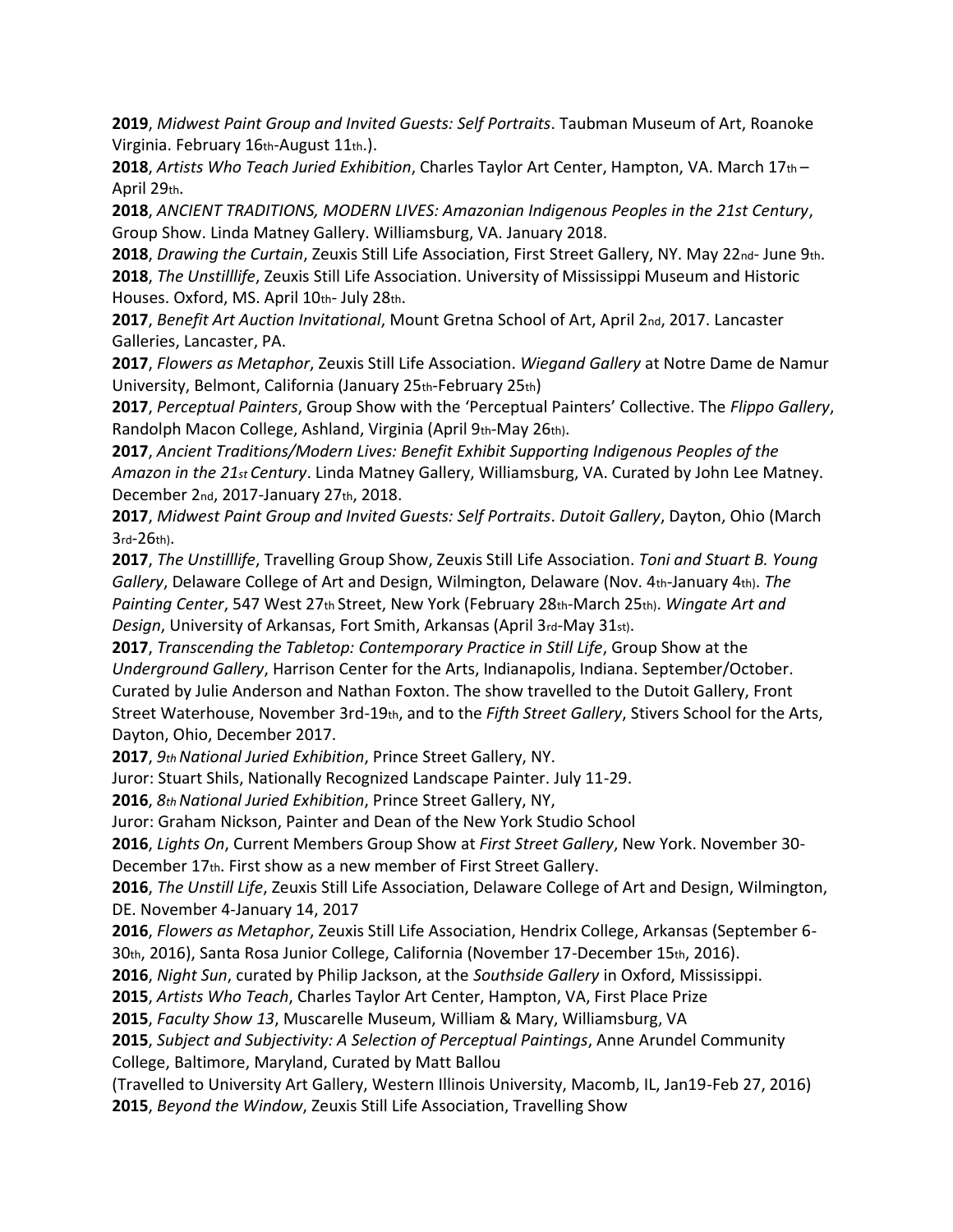**2019**, *Midwest Paint Group and Invited Guests: Self Portraits*. Taubman Museum of Art, Roanoke Virginia. February 16th-August 11th.).

**2018**, *Artists Who Teach Juried Exhibition*, Charles Taylor Art Center, Hampton, VA. March 17th – April 29th.

**2018**, *ANCIENT TRADITIONS, MODERN LIVES: Amazonian Indigenous Peoples in the 21st Century*, Group Show. Linda Matney Gallery. Williamsburg, VA. January 2018.

**2018**, *Drawing the Curtain*, Zeuxis Still Life Association, First Street Gallery, NY. May 22nd- June 9th. **2018**, *The Unstilllife*, Zeuxis Still Life Association. University of Mississippi Museum and Historic Houses. Oxford, MS. April 10th- July 28th.

**2017**, *Benefit Art Auction Invitational*, Mount Gretna School of Art, April 2nd, 2017. Lancaster Galleries, Lancaster, PA.

**2017**, *Flowers as Metaphor*, Zeuxis Still Life Association. *Wiegand Gallery* at Notre Dame de Namur University, Belmont, California (January 25th-February 25th)

**2017**, *Perceptual Painters*, Group Show with the 'Perceptual Painters' Collective. The *Flippo Gallery*, Randolph Macon College, Ashland, Virginia (April 9th-May 26th).

**2017**, *Ancient Traditions/Modern Lives: Benefit Exhibit Supporting Indigenous Peoples of the Amazon in the 21st Century*. Linda Matney Gallery, Williamsburg, VA. Curated by John Lee Matney. December 2nd, 2017-January 27th, 2018.

**2017**, *Midwest Paint Group and Invited Guests: Self Portraits*. *Dutoit Gallery*, Dayton, Ohio (March 3rd-26th).

**2017**, *The Unstilllife*, Travelling Group Show, Zeuxis Still Life Association. *Toni and Stuart B. Young Gallery*, Delaware College of Art and Design, Wilmington, Delaware (Nov. 4th-January 4th). *The Painting Center*, 547 West 27th Street, New York (February 28th-March 25th). *Wingate Art and Design*, University of Arkansas, Fort Smith, Arkansas (April 3rd-May 31st).

**2017**, *Transcending the Tabletop: Contemporary Practice in Still Life*, Group Show at the *Underground Gallery*, Harrison Center for the Arts, Indianapolis, Indiana. September/October. Curated by Julie Anderson and Nathan Foxton. The show travelled to the Dutoit Gallery, Front Street Waterhouse, November 3rd-19th, and to the *Fifth Street Gallery*, Stivers School for the Arts, Dayton, Ohio, December 2017.

**2017**, *9th National Juried Exhibition*, Prince Street Gallery, NY.

Juror: Stuart Shils, Nationally Recognized Landscape Painter. July 11-29.

**2016**, *8th National Juried Exhibition*, Prince Street Gallery, NY,

Juror: Graham Nickson, Painter and Dean of the New York Studio School

**2016**, *Lights On*, Current Members Group Show at *First Street Gallery*, New York. November 30-

December 17th. First show as a new member of First Street Gallery.

**2016**, *The Unstill Life*, Zeuxis Still Life Association, Delaware College of Art and Design, Wilmington, DE. November 4-January 14, 2017

**2016**, *Flowers as Metaphor*, Zeuxis Still Life Association, Hendrix College, Arkansas (September 6- 30th, 2016), Santa Rosa Junior College, California (November 17-December 15th, 2016).

**2016**, *Night Sun*, curated by Philip Jackson, at the *Southside Gallery* in Oxford, Mississippi.

**2015**, *Artists Who Teach*, Charles Taylor Art Center, Hampton, VA, First Place Prize

**2015**, *Faculty Show 13*, Muscarelle Museum, William & Mary, Williamsburg, VA

**2015**, *Subject and Subjectivity: A Selection of Perceptual Paintings*, Anne Arundel Community College, Baltimore, Maryland, Curated by Matt Ballou

(Travelled to University Art Gallery, Western Illinois University, Macomb, IL, Jan19-Feb 27, 2016) **2015**, *Beyond the Window*, Zeuxis Still Life Association, Travelling Show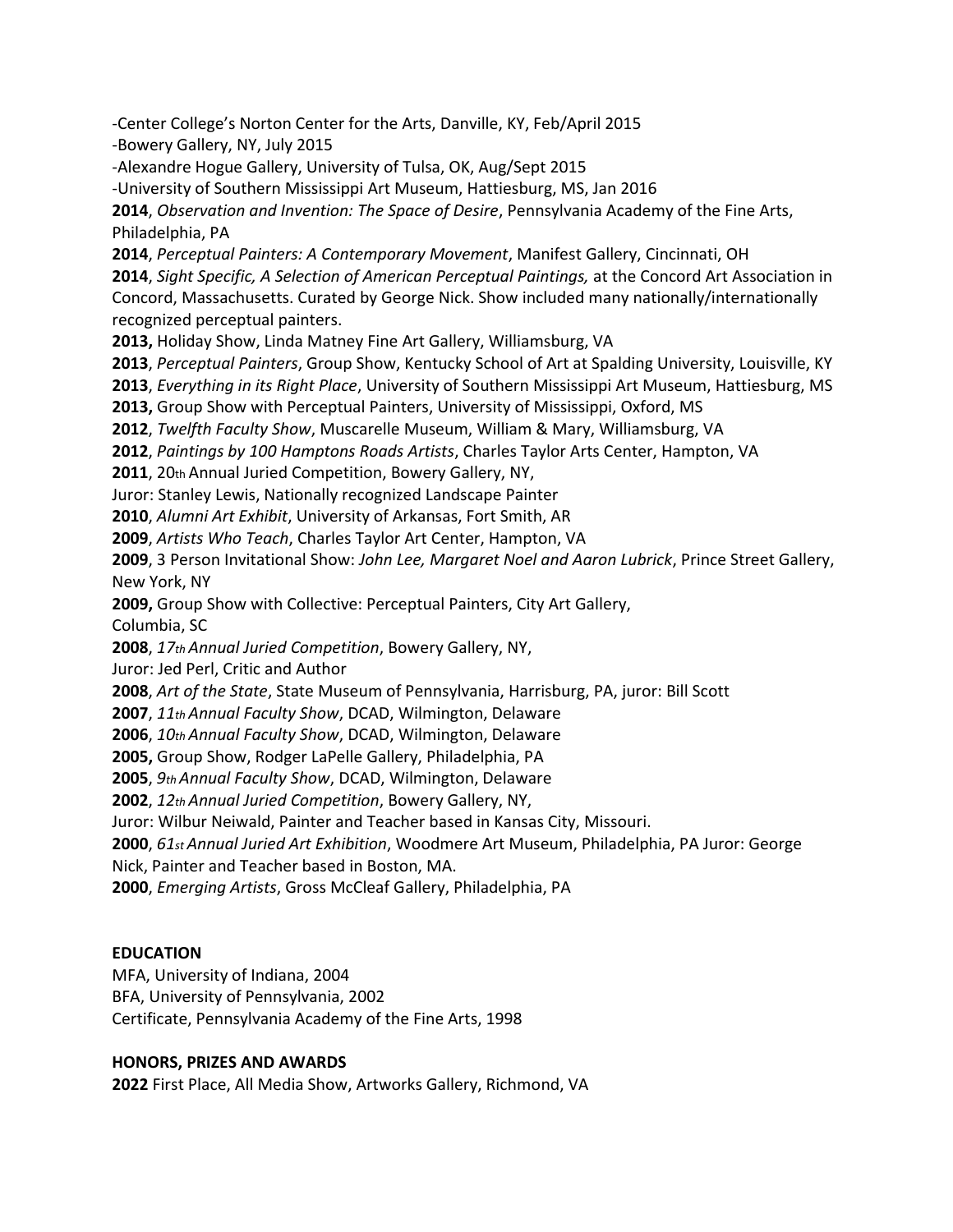-Center College's Norton Center for the Arts, Danville, KY, Feb/April 2015 -Bowery Gallery, NY, July 2015

-Alexandre Hogue Gallery, University of Tulsa, OK, Aug/Sept 2015

-University of Southern Mississippi Art Museum, Hattiesburg, MS, Jan 2016

**2014**, *Observation and Invention: The Space of Desire*, Pennsylvania Academy of the Fine Arts, Philadelphia, PA

**2014**, *Perceptual Painters: A Contemporary Movement*, Manifest Gallery, Cincinnati, OH

**2014**, *Sight Specific, A Selection of American Perceptual Paintings,* at the Concord Art Association in Concord, Massachusetts. Curated by George Nick. Show included many nationally/internationally recognized perceptual painters.

**2013,** Holiday Show, Linda Matney Fine Art Gallery, Williamsburg, VA

**2013**, *Perceptual Painters*, Group Show, Kentucky School of Art at Spalding University, Louisville, KY

**2013**, *Everything in its Right Place*, University of Southern Mississippi Art Museum, Hattiesburg, MS

**2013,** Group Show with Perceptual Painters, University of Mississippi, Oxford, MS

**2012**, *Twelfth Faculty Show*, Muscarelle Museum, William & Mary, Williamsburg, VA

**2012**, *Paintings by 100 Hamptons Roads Artists*, Charles Taylor Arts Center, Hampton, VA

**2011**, 20th Annual Juried Competition, Bowery Gallery, NY,

Juror: Stanley Lewis, Nationally recognized Landscape Painter

**2010**, *Alumni Art Exhibit*, University of Arkansas, Fort Smith, AR

**2009**, *Artists Who Teach*, Charles Taylor Art Center, Hampton, VA

**2009**, 3 Person Invitational Show: *John Lee, Margaret Noel and Aaron Lubrick*, Prince Street Gallery, New York, NY

**2009,** Group Show with Collective: Perceptual Painters, City Art Gallery,

Columbia, SC

**2008**, *17th Annual Juried Competition*, Bowery Gallery, NY,

Juror: Jed Perl, Critic and Author

**2008**, *Art of the State*, State Museum of Pennsylvania, Harrisburg, PA, juror: Bill Scott

**2007**, *11th Annual Faculty Show*, DCAD, Wilmington, Delaware

**2006**, *10th Annual Faculty Show*, DCAD, Wilmington, Delaware

**2005,** Group Show, Rodger LaPelle Gallery, Philadelphia, PA

**2005**, *9th Annual Faculty Show*, DCAD, Wilmington, Delaware

**2002**, *12th Annual Juried Competition*, Bowery Gallery, NY,

Juror: Wilbur Neiwald, Painter and Teacher based in Kansas City, Missouri.

**2000**, *61st Annual Juried Art Exhibition*, Woodmere Art Museum, Philadelphia, PA Juror: George

Nick, Painter and Teacher based in Boston, MA.

**2000**, *Emerging Artists*, Gross McCleaf Gallery, Philadelphia, PA

# **EDUCATION**

MFA, University of Indiana, 2004

BFA, University of Pennsylvania, 2002

Certificate, Pennsylvania Academy of the Fine Arts, 1998

# **HONORS, PRIZES AND AWARDS**

**2022** First Place, All Media Show, Artworks Gallery, Richmond, VA